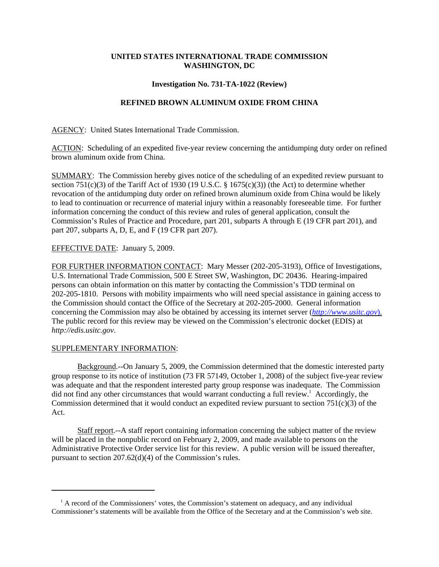## **UNITED STATES INTERNATIONAL TRADE COMMISSION WASHINGTON, DC**

### **Investigation No. 731-TA-1022 (Review)**

# **REFINED BROWN ALUMINUM OXIDE FROM CHINA**

AGENCY: United States International Trade Commission.

ACTION: Scheduling of an expedited five-year review concerning the antidumping duty order on refined brown aluminum oxide from China.

SUMMARY: The Commission hereby gives notice of the scheduling of an expedited review pursuant to section 751(c)(3) of the Tariff Act of 1930 (19 U.S.C.  $\S$  1675(c)(3)) (the Act) to determine whether revocation of the antidumping duty order on refined brown aluminum oxide from China would be likely to lead to continuation or recurrence of material injury within a reasonably foreseeable time. For further information concerning the conduct of this review and rules of general application, consult the Commission's Rules of Practice and Procedure, part 201, subparts A through E (19 CFR part 201), and part 207, subparts A, D, E, and F (19 CFR part 207).

### EFFECTIVE DATE: January 5, 2009.

FOR FURTHER INFORMATION CONTACT: Mary Messer (202-205-3193), Office of Investigations, U.S. International Trade Commission, 500 E Street SW, Washington, DC 20436. Hearing-impaired persons can obtain information on this matter by contacting the Commission's TDD terminal on 202-205-1810. Persons with mobility impairments who will need special assistance in gaining access to the Commission should contact the Office of the Secretary at 202-205-2000. General information concerning the Commission may also be obtained by accessing its internet server (*http://www.usitc.gov*). The public record for this review may be viewed on the Commission's electronic docket (EDIS) at *http://edis.usitc.gov*.

### SUPPLEMENTARY INFORMATION:

Background.--On January 5, 2009, the Commission determined that the domestic interested party group response to its notice of institution (73 FR 57149, October 1, 2008) of the subject five-year review was adequate and that the respondent interested party group response was inadequate. The Commission did not find any other circumstances that would warrant conducting a full review.<sup>1</sup> Accordingly, the Commission determined that it would conduct an expedited review pursuant to section  $751(c)(3)$  of the Act.

Staff report.--A staff report containing information concerning the subject matter of the review will be placed in the nonpublic record on February 2, 2009, and made available to persons on the Administrative Protective Order service list for this review. A public version will be issued thereafter, pursuant to section 207.62(d)(4) of the Commission's rules.

<sup>&</sup>lt;sup>1</sup> A record of the Commissioners' votes, the Commission's statement on adequacy, and any individual Commissioner's statements will be available from the Office of the Secretary and at the Commission's web site.